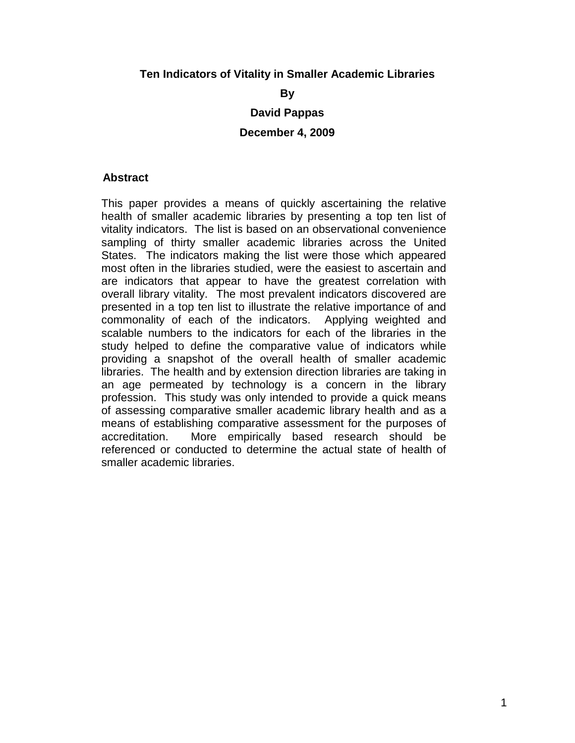## **Ten Indicators of Vitality in Smaller Academic Libraries**

**By**

**David Pappas**

**December 4, 2009**

## **Abstract**

This paper provides a means of quickly ascertaining the relative health of smaller academic libraries by presenting a top ten list of vitality indicators. The list is based on an observational convenience sampling of thirty smaller academic libraries across the United States. The indicators making the list were those which appeared most often in the libraries studied, were the easiest to ascertain and are indicators that appear to have the greatest correlation with overall library vitality. The most prevalent indicators discovered are presented in a top ten list to illustrate the relative importance of and commonality of each of the indicators. Applying weighted and scalable numbers to the indicators for each of the libraries in the study helped to define the comparative value of indicators while providing a snapshot of the overall health of smaller academic libraries. The health and by extension direction libraries are taking in an age permeated by technology is a concern in the library profession. This study was only intended to provide a quick means of assessing comparative smaller academic library health and as a means of establishing comparative assessment for the purposes of accreditation. More empirically based research should be referenced or conducted to determine the actual state of health of smaller academic libraries.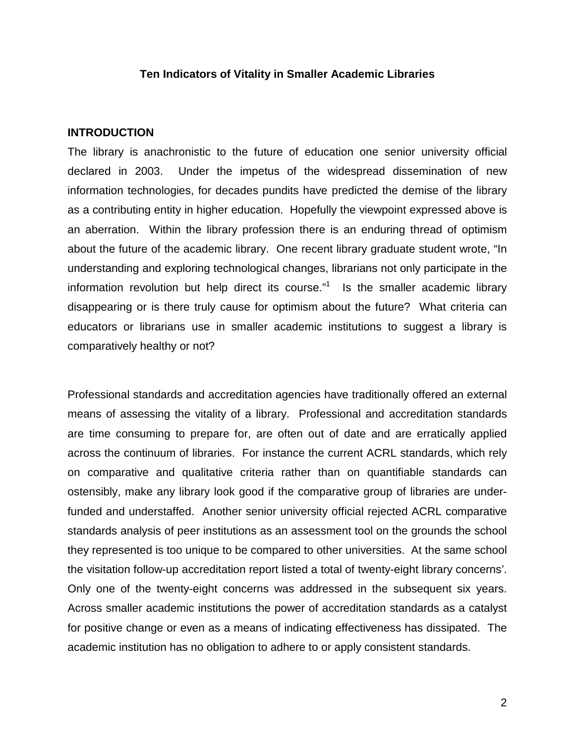## **Ten Indicators of Vitality in Smaller Academic Libraries**

#### **INTRODUCTION**

The library is anachronistic to the future of education one senior university official declared in 2003. Under the impetus of the widespread dissemination of new information technologies, for decades pundits have predicted the demise of the library as a contributing entity in higher education. Hopefully the viewpoint expressed above is an aberration. Within the library profession there is an enduring thread of optimism about the future of the academic library. One recent library graduate student wrote, "In understanding and exploring technological changes, librarians not only participate in the information revolution but help direct its course."<sup>1</sup> Is the smaller academic library disappearing or is there truly cause for optimism about the future? What criteria can educators or librarians use in smaller academic institutions to suggest a library is comparatively healthy or not?

Professional standards and accreditation agencies have traditionally offered an external means of assessing the vitality of a library. Professional and accreditation standards are time consuming to prepare for, are often out of date and are erratically applied across the continuum of libraries. For instance the current ACRL standards, which rely on comparative and qualitative criteria rather than on quantifiable standards can ostensibly, make any library look good if the comparative group of libraries are underfunded and understaffed. Another senior university official rejected ACRL comparative standards analysis of peer institutions as an assessment tool on the grounds the school they represented is too unique to be compared to other universities. At the same school the visitation follow-up accreditation report listed a total of twenty-eight library concerns'. Only one of the twenty-eight concerns was addressed in the subsequent six years. Across smaller academic institutions the power of accreditation standards as a catalyst for positive change or even as a means of indicating effectiveness has dissipated. The academic institution has no obligation to adhere to or apply consistent standards.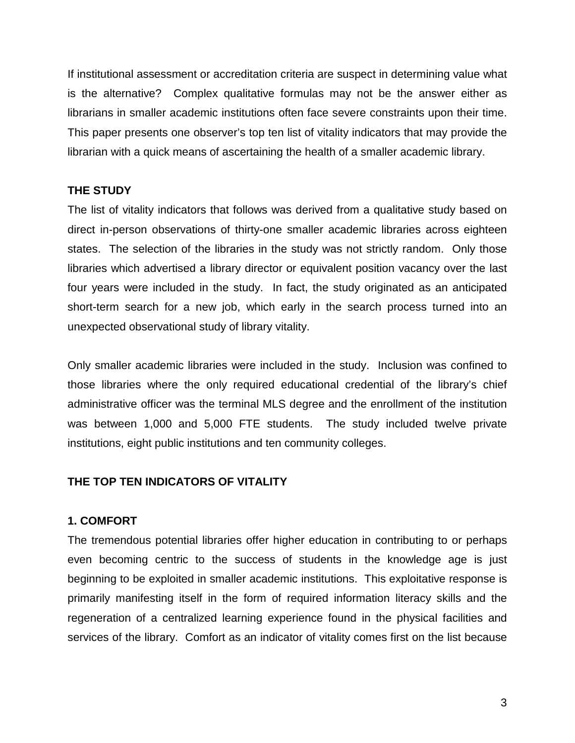If institutional assessment or accreditation criteria are suspect in determining value what is the alternative? Complex qualitative formulas may not be the answer either as librarians in smaller academic institutions often face severe constraints upon their time. This paper presents one observer's top ten list of vitality indicators that may provide the librarian with a quick means of ascertaining the health of a smaller academic library.

# **THE STUDY**

The list of vitality indicators that follows was derived from a qualitative study based on direct in-person observations of thirty-one smaller academic libraries across eighteen states. The selection of the libraries in the study was not strictly random. Only those libraries which advertised a library director or equivalent position vacancy over the last four years were included in the study. In fact, the study originated as an anticipated short-term search for a new job, which early in the search process turned into an unexpected observational study of library vitality.

Only smaller academic libraries were included in the study. Inclusion was confined to those libraries where the only required educational credential of the library's chief administrative officer was the terminal MLS degree and the enrollment of the institution was between 1,000 and 5,000 FTE students. The study included twelve private institutions, eight public institutions and ten community colleges.

## **THE TOP TEN INDICATORS OF VITALITY**

## **1. COMFORT**

The tremendous potential libraries offer higher education in contributing to or perhaps even becoming centric to the success of students in the knowledge age is just beginning to be exploited in smaller academic institutions. This exploitative response is primarily manifesting itself in the form of required information literacy skills and the regeneration of a centralized learning experience found in the physical facilities and services of the library. Comfort as an indicator of vitality comes first on the list because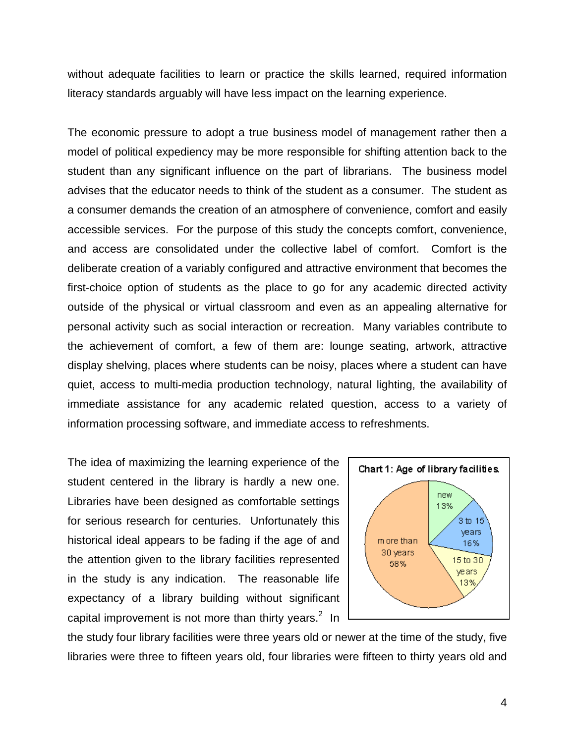without adequate facilities to learn or practice the skills learned, required information literacy standards arguably will have less impact on the learning experience.

The economic pressure to adopt a true business model of management rather then a model of political expediency may be more responsible for shifting attention back to the student than any significant influence on the part of librarians. The business model advises that the educator needs to think of the student as a consumer. The student as a consumer demands the creation of an atmosphere of convenience, comfort and easily accessible services. For the purpose of this study the concepts comfort, convenience, and access are consolidated under the collective label of comfort. Comfort is the deliberate creation of a variably configured and attractive environment that becomes the first-choice option of students as the place to go for any academic directed activity outside of the physical or virtual classroom and even as an appealing alternative for personal activity such as social interaction or recreation. Many variables contribute to the achievement of comfort, a few of them are: lounge seating, artwork, attractive display shelving, places where students can be noisy, places where a student can have quiet, access to multi-media production technology, natural lighting, the availability of immediate assistance for any academic related question, access to a variety of information processing software, and immediate access to refreshments.

The idea of maximizing the learning experience of the student centered in the library is hardly a new one. Libraries have been designed as comfortable settings for serious research for centuries. Unfortunately this historical ideal appears to be fading if the age of and the attention given to the library facilities represented in the study is any indication. The reasonable life expectancy of a library building without significant capital improvement is not more than thirty years.<sup>2</sup> In



the study four library facilities were three years old or newer at the time of the study, five libraries were three to fifteen years old, four libraries were fifteen to thirty years old and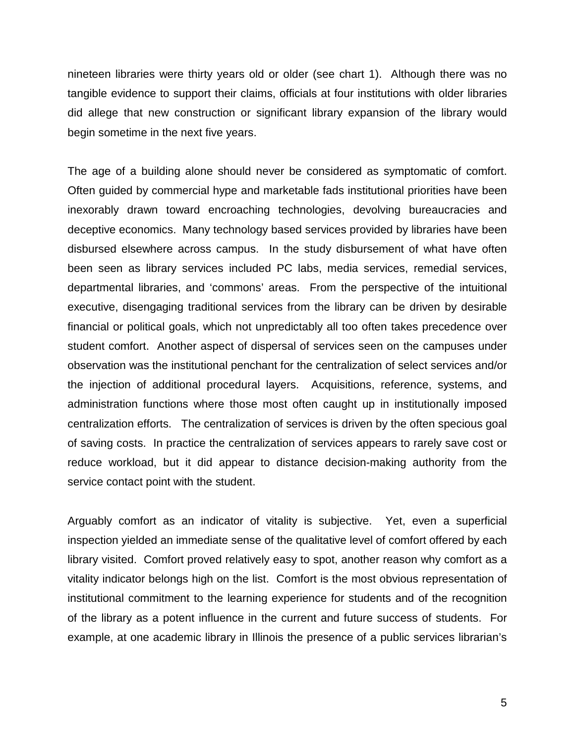nineteen libraries were thirty years old or older (see chart 1). Although there was no tangible evidence to support their claims, officials at four institutions with older libraries did allege that new construction or significant library expansion of the library would begin sometime in the next five years.

The age of a building alone should never be considered as symptomatic of comfort. Often guided by commercial hype and marketable fads institutional priorities have been inexorably drawn toward encroaching technologies, devolving bureaucracies and deceptive economics. Many technology based services provided by libraries have been disbursed elsewhere across campus. In the study disbursement of what have often been seen as library services included PC labs, media services, remedial services, departmental libraries, and 'commons' areas. From the perspective of the intuitional executive, disengaging traditional services from the library can be driven by desirable financial or political goals, which not unpredictably all too often takes precedence over student comfort. Another aspect of dispersal of services seen on the campuses under observation was the institutional penchant for the centralization of select services and/or the injection of additional procedural layers. Acquisitions, reference, systems, and administration functions where those most often caught up in institutionally imposed centralization efforts. The centralization of services is driven by the often specious goal of saving costs. In practice the centralization of services appears to rarely save cost or reduce workload, but it did appear to distance decision-making authority from the service contact point with the student.

Arguably comfort as an indicator of vitality is subjective. Yet, even a superficial inspection yielded an immediate sense of the qualitative level of comfort offered by each library visited. Comfort proved relatively easy to spot, another reason why comfort as a vitality indicator belongs high on the list. Comfort is the most obvious representation of institutional commitment to the learning experience for students and of the recognition of the library as a potent influence in the current and future success of students. For example, at one academic library in Illinois the presence of a public services librarian's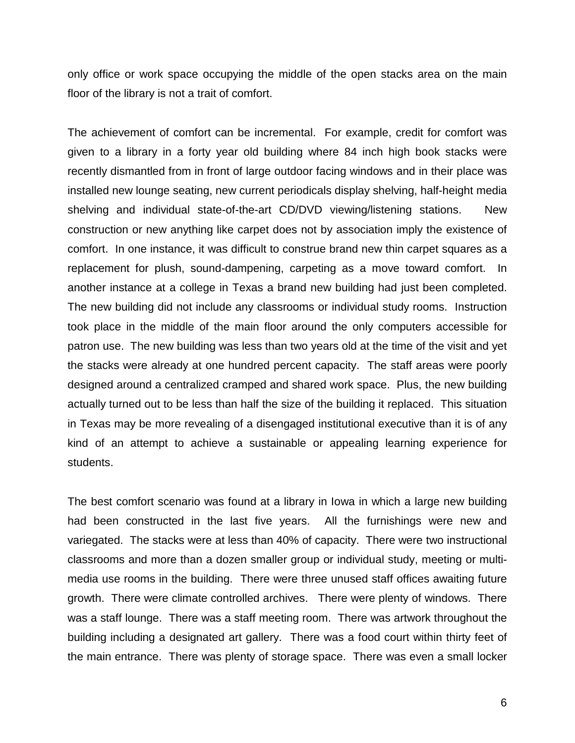only office or work space occupying the middle of the open stacks area on the main floor of the library is not a trait of comfort.

The achievement of comfort can be incremental. For example, credit for comfort was given to a library in a forty year old building where 84 inch high book stacks were recently dismantled from in front of large outdoor facing windows and in their place was installed new lounge seating, new current periodicals display shelving, half-height media shelving and individual state-of-the-art CD/DVD viewing/listening stations. New construction or new anything like carpet does not by association imply the existence of comfort. In one instance, it was difficult to construe brand new thin carpet squares as a replacement for plush, sound-dampening, carpeting as a move toward comfort. In another instance at a college in Texas a brand new building had just been completed. The new building did not include any classrooms or individual study rooms. Instruction took place in the middle of the main floor around the only computers accessible for patron use. The new building was less than two years old at the time of the visit and yet the stacks were already at one hundred percent capacity. The staff areas were poorly designed around a centralized cramped and shared work space. Plus, the new building actually turned out to be less than half the size of the building it replaced. This situation in Texas may be more revealing of a disengaged institutional executive than it is of any kind of an attempt to achieve a sustainable or appealing learning experience for students.

The best comfort scenario was found at a library in Iowa in which a large new building had been constructed in the last five years. All the furnishings were new and variegated. The stacks were at less than 40% of capacity. There were two instructional classrooms and more than a dozen smaller group or individual study, meeting or multimedia use rooms in the building. There were three unused staff offices awaiting future growth. There were climate controlled archives. There were plenty of windows. There was a staff lounge. There was a staff meeting room. There was artwork throughout the building including a designated art gallery. There was a food court within thirty feet of the main entrance. There was plenty of storage space. There was even a small locker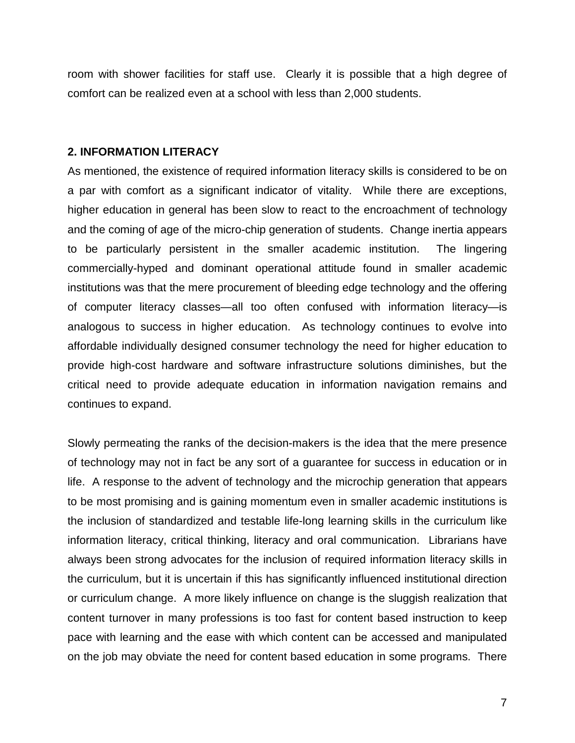room with shower facilities for staff use. Clearly it is possible that a high degree of comfort can be realized even at a school with less than 2,000 students.

### **2. INFORMATION LITERACY**

As mentioned, the existence of required information literacy skills is considered to be on a par with comfort as a significant indicator of vitality. While there are exceptions, higher education in general has been slow to react to the encroachment of technology and the coming of age of the micro-chip generation of students. Change inertia appears to be particularly persistent in the smaller academic institution. The lingering commercially-hyped and dominant operational attitude found in smaller academic institutions was that the mere procurement of bleeding edge technology and the offering of computer literacy classes—all too often confused with information literacy—is analogous to success in higher education. As technology continues to evolve into affordable individually designed consumer technology the need for higher education to provide high-cost hardware and software infrastructure solutions diminishes, but the critical need to provide adequate education in information navigation remains and continues to expand.

Slowly permeating the ranks of the decision-makers is the idea that the mere presence of technology may not in fact be any sort of a guarantee for success in education or in life. A response to the advent of technology and the microchip generation that appears to be most promising and is gaining momentum even in smaller academic institutions is the inclusion of standardized and testable life-long learning skills in the curriculum like information literacy, critical thinking, literacy and oral communication. Librarians have always been strong advocates for the inclusion of required information literacy skills in the curriculum, but it is uncertain if this has significantly influenced institutional direction or curriculum change. A more likely influence on change is the sluggish realization that content turnover in many professions is too fast for content based instruction to keep pace with learning and the ease with which content can be accessed and manipulated on the job may obviate the need for content based education in some programs. There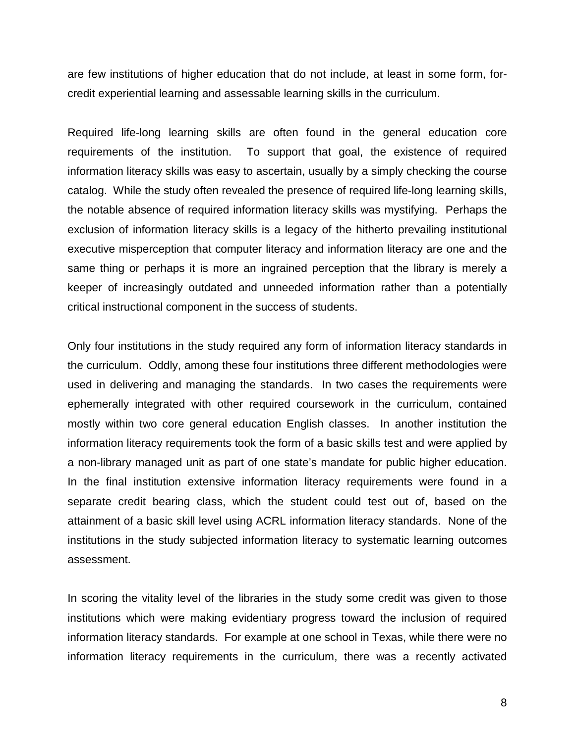are few institutions of higher education that do not include, at least in some form, forcredit experiential learning and assessable learning skills in the curriculum.

Required life-long learning skills are often found in the general education core requirements of the institution. To support that goal, the existence of required information literacy skills was easy to ascertain, usually by a simply checking the course catalog. While the study often revealed the presence of required life-long learning skills, the notable absence of required information literacy skills was mystifying. Perhaps the exclusion of information literacy skills is a legacy of the hitherto prevailing institutional executive misperception that computer literacy and information literacy are one and the same thing or perhaps it is more an ingrained perception that the library is merely a keeper of increasingly outdated and unneeded information rather than a potentially critical instructional component in the success of students.

Only four institutions in the study required any form of information literacy standards in the curriculum. Oddly, among these four institutions three different methodologies were used in delivering and managing the standards. In two cases the requirements were ephemerally integrated with other required coursework in the curriculum, contained mostly within two core general education English classes. In another institution the information literacy requirements took the form of a basic skills test and were applied by a non-library managed unit as part of one state's mandate for public higher education. In the final institution extensive information literacy requirements were found in a separate credit bearing class, which the student could test out of, based on the attainment of a basic skill level using ACRL information literacy standards. None of the institutions in the study subjected information literacy to systematic learning outcomes assessment.

In scoring the vitality level of the libraries in the study some credit was given to those institutions which were making evidentiary progress toward the inclusion of required information literacy standards. For example at one school in Texas, while there were no information literacy requirements in the curriculum, there was a recently activated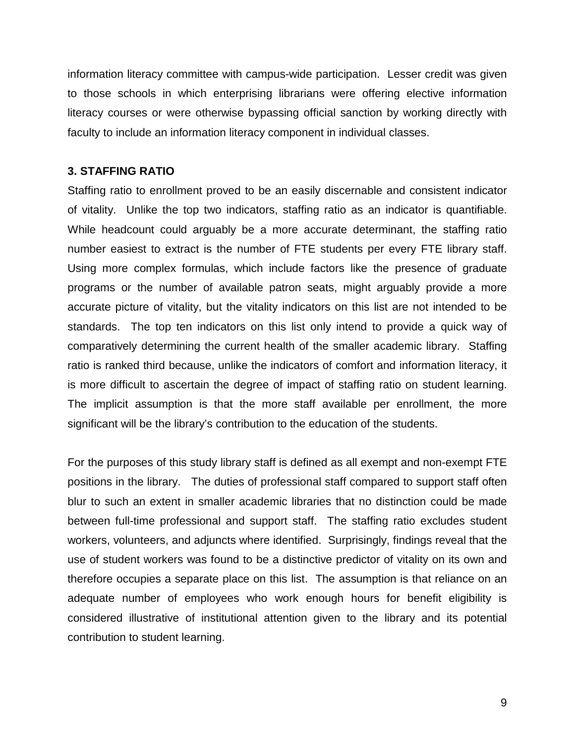information literacy committee with campus-wide participation. Lesser credit was given to those schools in which enterprising librarians were offering elective information literacy courses or were otherwise bypassing official sanction by working directly with faculty to include an information literacy component in individual classes.

## **3. STAFFING RATIO**

Staffing ratio to enrollment proved to be an easily discernable and consistent indicator of vitality. Unlike the top two indicators, staffing ratio as an indicator is quantifiable. While headcount could arguably be a more accurate determinant, the staffing ratio number easiest to extract is the number of FTE students per every FTE library staff. Using more complex formulas, which include factors like the presence of graduate programs or the number of available patron seats, might arguably provide a more accurate picture of vitality, but the vitality indicators on this list are not intended to be standards. The top ten indicators on this list only intend to provide a quick way of comparatively determining the current health of the smaller academic library. Staffing ratio is ranked third because, unlike the indicators of comfort and information literacy, it is more difficult to ascertain the degree of impact of staffing ratio on student learning. The implicit assumption is that the more staff available per enrollment, the more significant will be the library's contribution to the education of the students.

For the purposes of this study library staff is defined as all exempt and non-exempt FTE positions in the library. The duties of professional staff compared to support staff often blur to such an extent in smaller academic libraries that no distinction could be made between full-time professional and support staff. The staffing ratio excludes student workers, volunteers, and adjuncts where identified. Surprisingly, findings reveal that the use of student workers was found to be a distinctive predictor of vitality on its own and therefore occupies a separate place on this list. The assumption is that reliance on an adequate number of employees who work enough hours for benefit eligibility is considered illustrative of institutional attention given to the library and its potential contribution to student learning.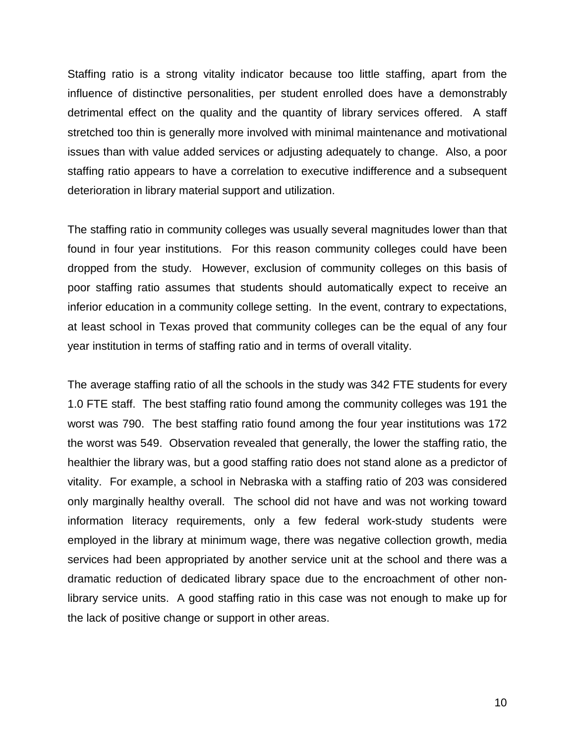Staffing ratio is a strong vitality indicator because too little staffing, apart from the influence of distinctive personalities, per student enrolled does have a demonstrably detrimental effect on the quality and the quantity of library services offered. A staff stretched too thin is generally more involved with minimal maintenance and motivational issues than with value added services or adjusting adequately to change. Also, a poor staffing ratio appears to have a correlation to executive indifference and a subsequent deterioration in library material support and utilization.

The staffing ratio in community colleges was usually several magnitudes lower than that found in four year institutions. For this reason community colleges could have been dropped from the study. However, exclusion of community colleges on this basis of poor staffing ratio assumes that students should automatically expect to receive an inferior education in a community college setting. In the event, contrary to expectations, at least school in Texas proved that community colleges can be the equal of any four year institution in terms of staffing ratio and in terms of overall vitality.

The average staffing ratio of all the schools in the study was 342 FTE students for every 1.0 FTE staff. The best staffing ratio found among the community colleges was 191 the worst was 790. The best staffing ratio found among the four year institutions was 172 the worst was 549. Observation revealed that generally, the lower the staffing ratio, the healthier the library was, but a good staffing ratio does not stand alone as a predictor of vitality. For example, a school in Nebraska with a staffing ratio of 203 was considered only marginally healthy overall. The school did not have and was not working toward information literacy requirements, only a few federal work-study students were employed in the library at minimum wage, there was negative collection growth, media services had been appropriated by another service unit at the school and there was a dramatic reduction of dedicated library space due to the encroachment of other nonlibrary service units. A good staffing ratio in this case was not enough to make up for the lack of positive change or support in other areas.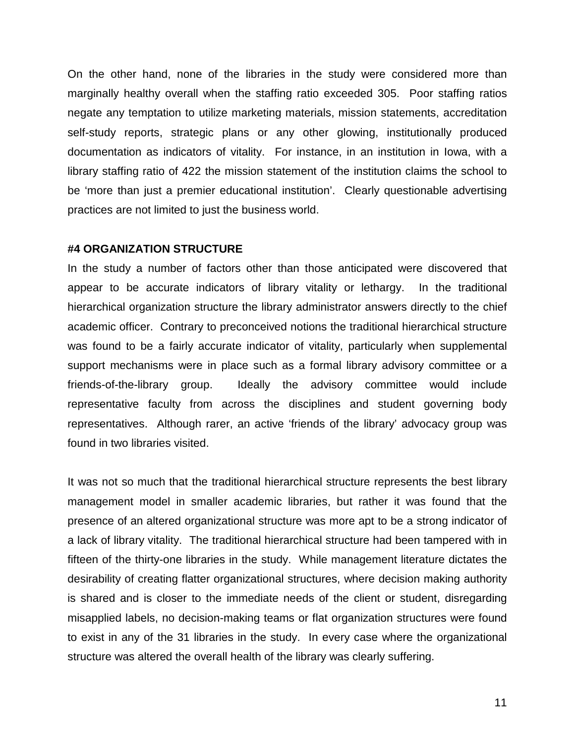On the other hand, none of the libraries in the study were considered more than marginally healthy overall when the staffing ratio exceeded 305. Poor staffing ratios negate any temptation to utilize marketing materials, mission statements, accreditation self-study reports, strategic plans or any other glowing, institutionally produced documentation as indicators of vitality. For instance, in an institution in Iowa, with a library staffing ratio of 422 the mission statement of the institution claims the school to be 'more than just a premier educational institution'. Clearly questionable advertising practices are not limited to just the business world.

#### **#4 ORGANIZATION STRUCTURE**

In the study a number of factors other than those anticipated were discovered that appear to be accurate indicators of library vitality or lethargy. In the traditional hierarchical organization structure the library administrator answers directly to the chief academic officer. Contrary to preconceived notions the traditional hierarchical structure was found to be a fairly accurate indicator of vitality, particularly when supplemental support mechanisms were in place such as a formal library advisory committee or a friends-of-the-library group. Ideally the advisory committee would include representative faculty from across the disciplines and student governing body representatives. Although rarer, an active 'friends of the library' advocacy group was found in two libraries visited.

It was not so much that the traditional hierarchical structure represents the best library management model in smaller academic libraries, but rather it was found that the presence of an altered organizational structure was more apt to be a strong indicator of a lack of library vitality. The traditional hierarchical structure had been tampered with in fifteen of the thirty-one libraries in the study. While management literature dictates the desirability of creating flatter organizational structures, where decision making authority is shared and is closer to the immediate needs of the client or student, disregarding misapplied labels, no decision-making teams or flat organization structures were found to exist in any of the 31 libraries in the study. In every case where the organizational structure was altered the overall health of the library was clearly suffering.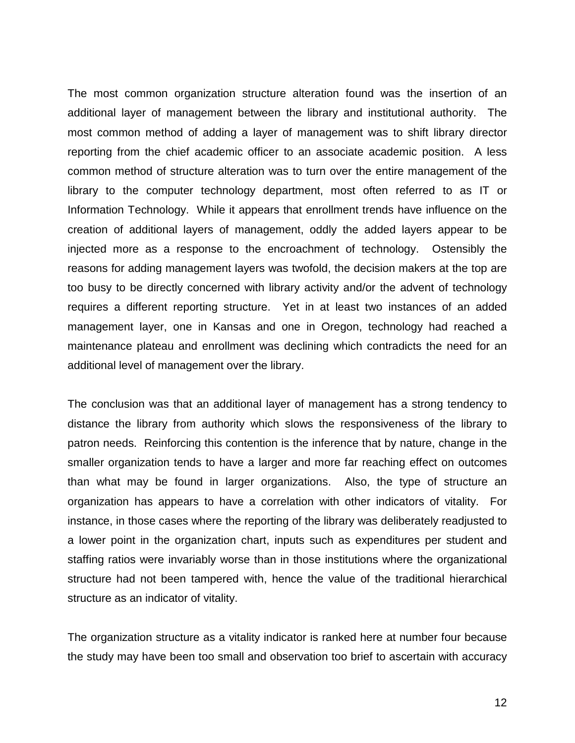The most common organization structure alteration found was the insertion of an additional layer of management between the library and institutional authority. The most common method of adding a layer of management was to shift library director reporting from the chief academic officer to an associate academic position. A less common method of structure alteration was to turn over the entire management of the library to the computer technology department, most often referred to as IT or Information Technology. While it appears that enrollment trends have influence on the creation of additional layers of management, oddly the added layers appear to be injected more as a response to the encroachment of technology. Ostensibly the reasons for adding management layers was twofold, the decision makers at the top are too busy to be directly concerned with library activity and/or the advent of technology requires a different reporting structure. Yet in at least two instances of an added management layer, one in Kansas and one in Oregon, technology had reached a maintenance plateau and enrollment was declining which contradicts the need for an additional level of management over the library.

The conclusion was that an additional layer of management has a strong tendency to distance the library from authority which slows the responsiveness of the library to patron needs. Reinforcing this contention is the inference that by nature, change in the smaller organization tends to have a larger and more far reaching effect on outcomes than what may be found in larger organizations. Also, the type of structure an organization has appears to have a correlation with other indicators of vitality. For instance, in those cases where the reporting of the library was deliberately readjusted to a lower point in the organization chart, inputs such as expenditures per student and staffing ratios were invariably worse than in those institutions where the organizational structure had not been tampered with, hence the value of the traditional hierarchical structure as an indicator of vitality.

The organization structure as a vitality indicator is ranked here at number four because the study may have been too small and observation too brief to ascertain with accuracy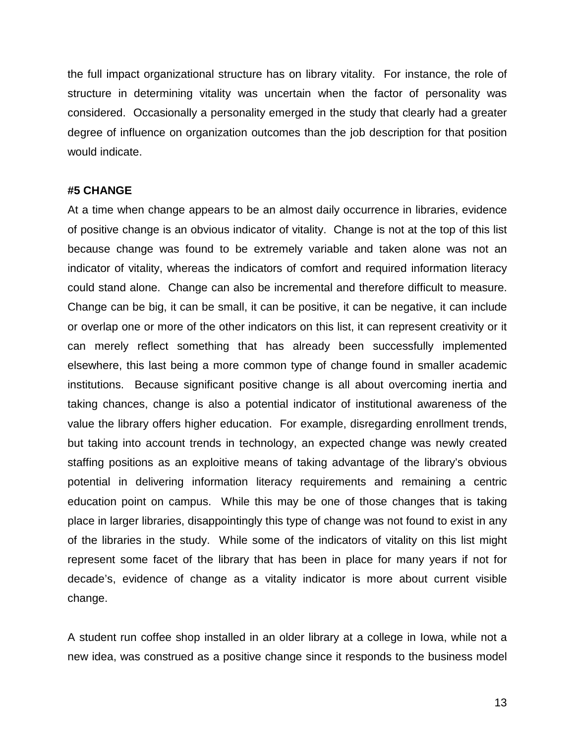the full impact organizational structure has on library vitality. For instance, the role of structure in determining vitality was uncertain when the factor of personality was considered. Occasionally a personality emerged in the study that clearly had a greater degree of influence on organization outcomes than the job description for that position would indicate.

#### **#5 CHANGE**

At a time when change appears to be an almost daily occurrence in libraries, evidence of positive change is an obvious indicator of vitality. Change is not at the top of this list because change was found to be extremely variable and taken alone was not an indicator of vitality, whereas the indicators of comfort and required information literacy could stand alone. Change can also be incremental and therefore difficult to measure. Change can be big, it can be small, it can be positive, it can be negative, it can include or overlap one or more of the other indicators on this list, it can represent creativity or it can merely reflect something that has already been successfully implemented elsewhere, this last being a more common type of change found in smaller academic institutions. Because significant positive change is all about overcoming inertia and taking chances, change is also a potential indicator of institutional awareness of the value the library offers higher education. For example, disregarding enrollment trends, but taking into account trends in technology, an expected change was newly created staffing positions as an exploitive means of taking advantage of the library's obvious potential in delivering information literacy requirements and remaining a centric education point on campus. While this may be one of those changes that is taking place in larger libraries, disappointingly this type of change was not found to exist in any of the libraries in the study. While some of the indicators of vitality on this list might represent some facet of the library that has been in place for many years if not for decade's, evidence of change as a vitality indicator is more about current visible change.

A student run coffee shop installed in an older library at a college in Iowa, while not a new idea, was construed as a positive change since it responds to the business model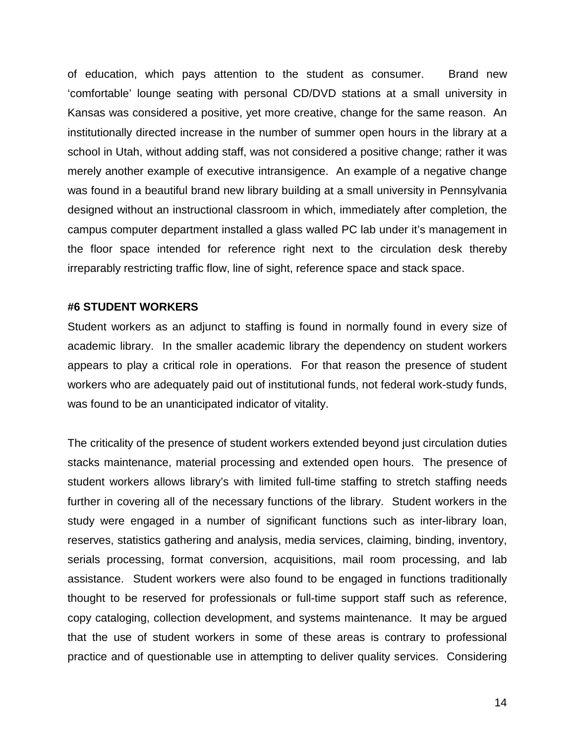of education, which pays attention to the student as consumer. Brand new 'comfortable' lounge seating with personal CD/DVD stations at a small university in Kansas was considered a positive, yet more creative, change for the same reason. An institutionally directed increase in the number of summer open hours in the library at a school in Utah, without adding staff, was not considered a positive change; rather it was merely another example of executive intransigence. An example of a negative change was found in a beautiful brand new library building at a small university in Pennsylvania designed without an instructional classroom in which, immediately after completion, the campus computer department installed a glass walled PC lab under it's management in the floor space intended for reference right next to the circulation desk thereby irreparably restricting traffic flow, line of sight, reference space and stack space.

## **#6 STUDENT WORKERS**

Student workers as an adjunct to staffing is found in normally found in every size of academic library. In the smaller academic library the dependency on student workers appears to play a critical role in operations. For that reason the presence of student workers who are adequately paid out of institutional funds, not federal work-study funds, was found to be an unanticipated indicator of vitality.

The criticality of the presence of student workers extended beyond just circulation duties stacks maintenance, material processing and extended open hours. The presence of student workers allows library's with limited full-time staffing to stretch staffing needs further in covering all of the necessary functions of the library. Student workers in the study were engaged in a number of significant functions such as inter-library loan, reserves, statistics gathering and analysis, media services, claiming, binding, inventory, serials processing, format conversion, acquisitions, mail room processing, and lab assistance. Student workers were also found to be engaged in functions traditionally thought to be reserved for professionals or full-time support staff such as reference, copy cataloging, collection development, and systems maintenance. It may be argued that the use of student workers in some of these areas is contrary to professional practice and of questionable use in attempting to deliver quality services. Considering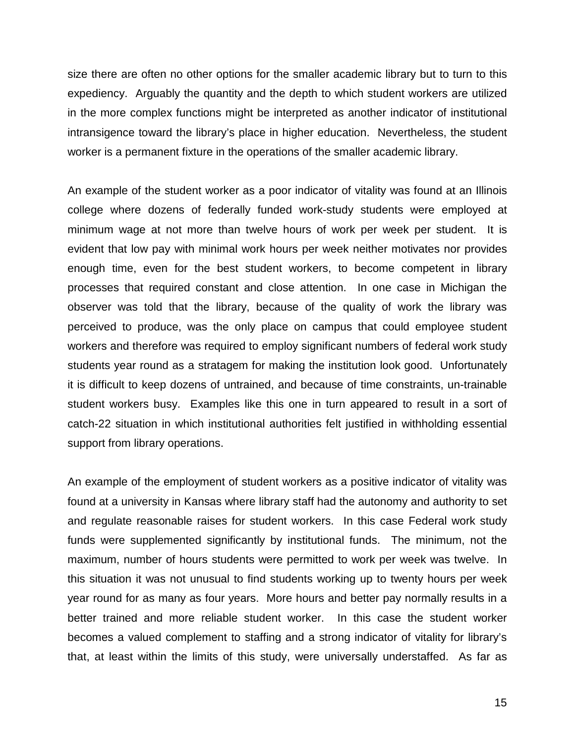size there are often no other options for the smaller academic library but to turn to this expediency. Arguably the quantity and the depth to which student workers are utilized in the more complex functions might be interpreted as another indicator of institutional intransigence toward the library's place in higher education. Nevertheless, the student worker is a permanent fixture in the operations of the smaller academic library.

An example of the student worker as a poor indicator of vitality was found at an Illinois college where dozens of federally funded work-study students were employed at minimum wage at not more than twelve hours of work per week per student. It is evident that low pay with minimal work hours per week neither motivates nor provides enough time, even for the best student workers, to become competent in library processes that required constant and close attention. In one case in Michigan the observer was told that the library, because of the quality of work the library was perceived to produce, was the only place on campus that could employee student workers and therefore was required to employ significant numbers of federal work study students year round as a stratagem for making the institution look good. Unfortunately it is difficult to keep dozens of untrained, and because of time constraints, un-trainable student workers busy. Examples like this one in turn appeared to result in a sort of catch-22 situation in which institutional authorities felt justified in withholding essential support from library operations.

An example of the employment of student workers as a positive indicator of vitality was found at a university in Kansas where library staff had the autonomy and authority to set and regulate reasonable raises for student workers. In this case Federal work study funds were supplemented significantly by institutional funds. The minimum, not the maximum, number of hours students were permitted to work per week was twelve. In this situation it was not unusual to find students working up to twenty hours per week year round for as many as four years. More hours and better pay normally results in a better trained and more reliable student worker. In this case the student worker becomes a valued complement to staffing and a strong indicator of vitality for library's that, at least within the limits of this study, were universally understaffed. As far as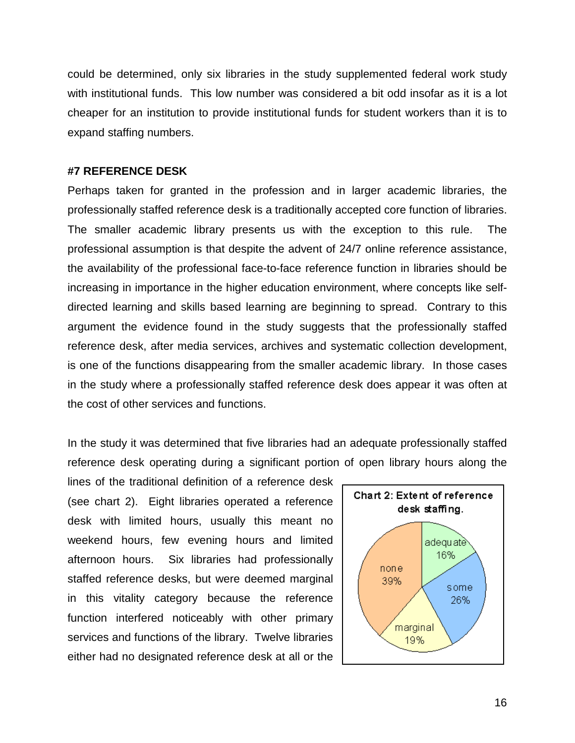could be determined, only six libraries in the study supplemented federal work study with institutional funds. This low number was considered a bit odd insofar as it is a lot cheaper for an institution to provide institutional funds for student workers than it is to expand staffing numbers.

## **#7 REFERENCE DESK**

Perhaps taken for granted in the profession and in larger academic libraries, the professionally staffed reference desk is a traditionally accepted core function of libraries. The smaller academic library presents us with the exception to this rule. The professional assumption is that despite the advent of 24/7 online reference assistance, the availability of the professional face-to-face reference function in libraries should be increasing in importance in the higher education environment, where concepts like selfdirected learning and skills based learning are beginning to spread. Contrary to this argument the evidence found in the study suggests that the professionally staffed reference desk, after media services, archives and systematic collection development, is one of the functions disappearing from the smaller academic library. In those cases in the study where a professionally staffed reference desk does appear it was often at the cost of other services and functions.

In the study it was determined that five libraries had an adequate professionally staffed reference desk operating during a significant portion of open library hours along the

lines of the traditional definition of a reference desk (see chart 2). Eight libraries operated a reference desk with limited hours, usually this meant no weekend hours, few evening hours and limited afternoon hours. Six libraries had professionally staffed reference desks, but were deemed marginal in this vitality category because the reference function interfered noticeably with other primary services and functions of the library. Twelve libraries either had no designated reference desk at all or the

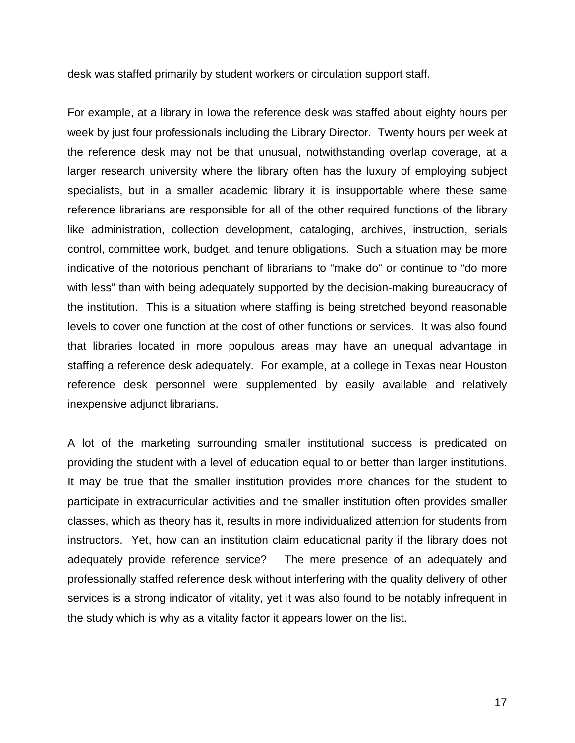desk was staffed primarily by student workers or circulation support staff.

For example, at a library in Iowa the reference desk was staffed about eighty hours per week by just four professionals including the Library Director. Twenty hours per week at the reference desk may not be that unusual, notwithstanding overlap coverage, at a larger research university where the library often has the luxury of employing subject specialists, but in a smaller academic library it is insupportable where these same reference librarians are responsible for all of the other required functions of the library like administration, collection development, cataloging, archives, instruction, serials control, committee work, budget, and tenure obligations. Such a situation may be more indicative of the notorious penchant of librarians to "make do" or continue to "do more with less" than with being adequately supported by the decision-making bureaucracy of the institution. This is a situation where staffing is being stretched beyond reasonable levels to cover one function at the cost of other functions or services. It was also found that libraries located in more populous areas may have an unequal advantage in staffing a reference desk adequately. For example, at a college in Texas near Houston reference desk personnel were supplemented by easily available and relatively inexpensive adjunct librarians.

A lot of the marketing surrounding smaller institutional success is predicated on providing the student with a level of education equal to or better than larger institutions. It may be true that the smaller institution provides more chances for the student to participate in extracurricular activities and the smaller institution often provides smaller classes, which as theory has it, results in more individualized attention for students from instructors. Yet, how can an institution claim educational parity if the library does not adequately provide reference service? The mere presence of an adequately and professionally staffed reference desk without interfering with the quality delivery of other services is a strong indicator of vitality, yet it was also found to be notably infrequent in the study which is why as a vitality factor it appears lower on the list.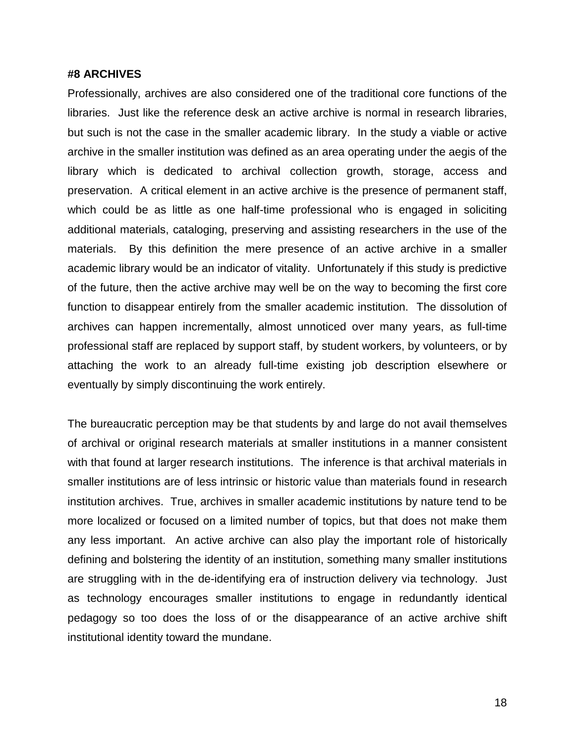#### **#8 ARCHIVES**

Professionally, archives are also considered one of the traditional core functions of the libraries. Just like the reference desk an active archive is normal in research libraries, but such is not the case in the smaller academic library. In the study a viable or active archive in the smaller institution was defined as an area operating under the aegis of the library which is dedicated to archival collection growth, storage, access and preservation. A critical element in an active archive is the presence of permanent staff, which could be as little as one half-time professional who is engaged in soliciting additional materials, cataloging, preserving and assisting researchers in the use of the materials. By this definition the mere presence of an active archive in a smaller academic library would be an indicator of vitality. Unfortunately if this study is predictive of the future, then the active archive may well be on the way to becoming the first core function to disappear entirely from the smaller academic institution. The dissolution of archives can happen incrementally, almost unnoticed over many years, as full-time professional staff are replaced by support staff, by student workers, by volunteers, or by attaching the work to an already full-time existing job description elsewhere or eventually by simply discontinuing the work entirely.

The bureaucratic perception may be that students by and large do not avail themselves of archival or original research materials at smaller institutions in a manner consistent with that found at larger research institutions. The inference is that archival materials in smaller institutions are of less intrinsic or historic value than materials found in research institution archives. True, archives in smaller academic institutions by nature tend to be more localized or focused on a limited number of topics, but that does not make them any less important. An active archive can also play the important role of historically defining and bolstering the identity of an institution, something many smaller institutions are struggling with in the de-identifying era of instruction delivery via technology. Just as technology encourages smaller institutions to engage in redundantly identical pedagogy so too does the loss of or the disappearance of an active archive shift institutional identity toward the mundane.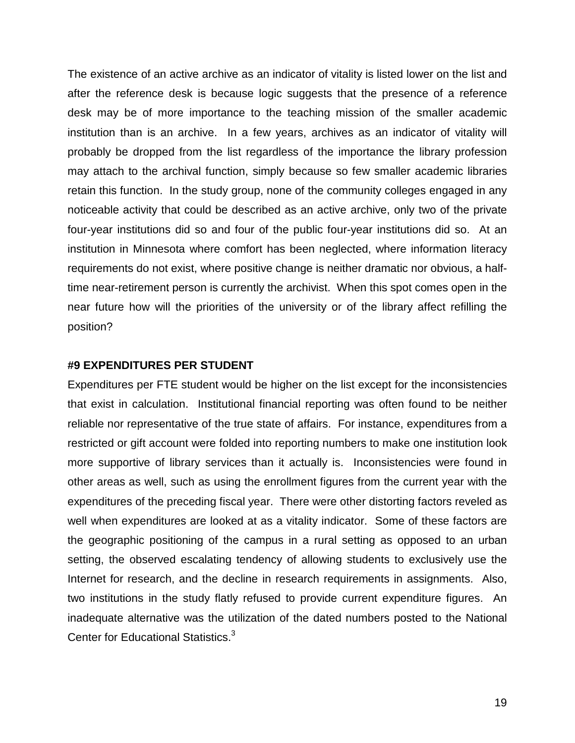The existence of an active archive as an indicator of vitality is listed lower on the list and after the reference desk is because logic suggests that the presence of a reference desk may be of more importance to the teaching mission of the smaller academic institution than is an archive. In a few years, archives as an indicator of vitality will probably be dropped from the list regardless of the importance the library profession may attach to the archival function, simply because so few smaller academic libraries retain this function. In the study group, none of the community colleges engaged in any noticeable activity that could be described as an active archive, only two of the private four-year institutions did so and four of the public four-year institutions did so. At an institution in Minnesota where comfort has been neglected, where information literacy requirements do not exist, where positive change is neither dramatic nor obvious, a halftime near-retirement person is currently the archivist. When this spot comes open in the near future how will the priorities of the university or of the library affect refilling the position?

## **#9 EXPENDITURES PER STUDENT**

Expenditures per FTE student would be higher on the list except for the inconsistencies that exist in calculation. Institutional financial reporting was often found to be neither reliable nor representative of the true state of affairs. For instance, expenditures from a restricted or gift account were folded into reporting numbers to make one institution look more supportive of library services than it actually is. Inconsistencies were found in other areas as well, such as using the enrollment figures from the current year with the expenditures of the preceding fiscal year. There were other distorting factors reveled as well when expenditures are looked at as a vitality indicator. Some of these factors are the geographic positioning of the campus in a rural setting as opposed to an urban setting, the observed escalating tendency of allowing students to exclusively use the Internet for research, and the decline in research requirements in assignments. Also, two institutions in the study flatly refused to provide current expenditure figures. An inadequate alternative was the utilization of the dated numbers posted to the National Center for Educational Statistics.<sup>3</sup>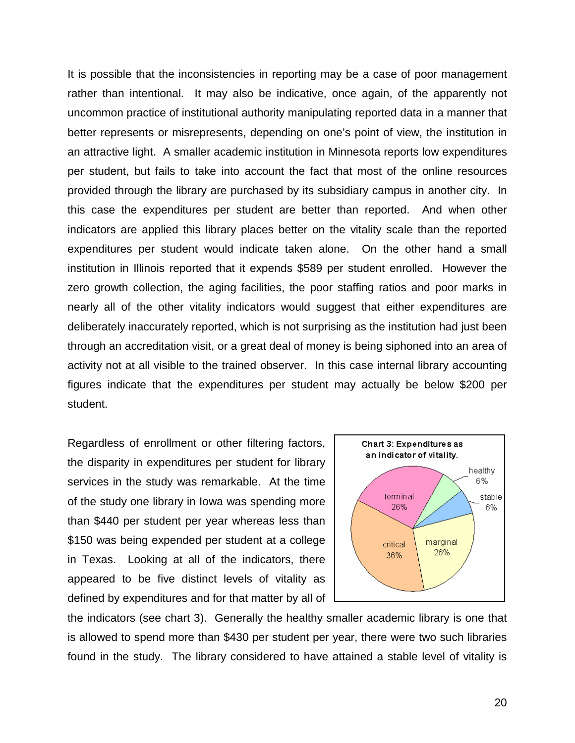It is possible that the inconsistencies in reporting may be a case of poor management rather than intentional. It may also be indicative, once again, of the apparently not uncommon practice of institutional authority manipulating reported data in a manner that better represents or misrepresents, depending on one's point of view, the institution in an attractive light. A smaller academic institution in Minnesota reports low expenditures per student, but fails to take into account the fact that most of the online resources provided through the library are purchased by its subsidiary campus in another city. In this case the expenditures per student are better than reported. And when other indicators are applied this library places better on the vitality scale than the reported expenditures per student would indicate taken alone. On the other hand a small institution in Illinois reported that it expends \$589 per student enrolled. However the zero growth collection, the aging facilities, the poor staffing ratios and poor marks in nearly all of the other vitality indicators would suggest that either expenditures are deliberately inaccurately reported, which is not surprising as the institution had just been through an accreditation visit, or a great deal of money is being siphoned into an area of activity not at all visible to the trained observer. In this case internal library accounting figures indicate that the expenditures per student may actually be below \$200 per student.

Regardless of enrollment or other filtering factors, the disparity in expenditures per student for library services in the study was remarkable. At the time of the study one library in Iowa was spending more than \$440 per student per year whereas less than \$150 was being expended per student at a college in Texas. Looking at all of the indicators, there appeared to be five distinct levels of vitality as defined by expenditures and for that matter by all of



the indicators (see chart 3). Generally the healthy smaller academic library is one that is allowed to spend more than \$430 per student per year, there were two such libraries found in the study. The library considered to have attained a stable level of vitality is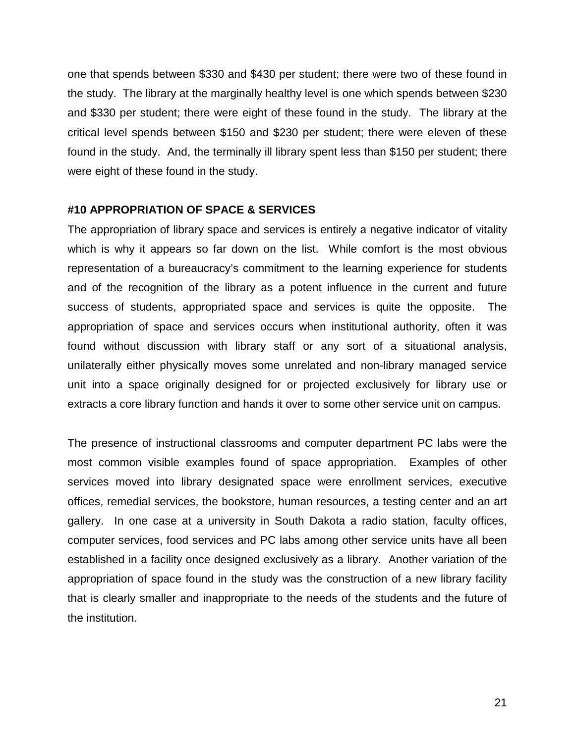one that spends between \$330 and \$430 per student; there were two of these found in the study. The library at the marginally healthy level is one which spends between \$230 and \$330 per student; there were eight of these found in the study. The library at the critical level spends between \$150 and \$230 per student; there were eleven of these found in the study. And, the terminally ill library spent less than \$150 per student; there were eight of these found in the study.

## **#10 APPROPRIATION OF SPACE & SERVICES**

The appropriation of library space and services is entirely a negative indicator of vitality which is why it appears so far down on the list. While comfort is the most obvious representation of a bureaucracy's commitment to the learning experience for students and of the recognition of the library as a potent influence in the current and future success of students, appropriated space and services is quite the opposite. The appropriation of space and services occurs when institutional authority, often it was found without discussion with library staff or any sort of a situational analysis, unilaterally either physically moves some unrelated and non-library managed service unit into a space originally designed for or projected exclusively for library use or extracts a core library function and hands it over to some other service unit on campus.

The presence of instructional classrooms and computer department PC labs were the most common visible examples found of space appropriation. Examples of other services moved into library designated space were enrollment services, executive offices, remedial services, the bookstore, human resources, a testing center and an art gallery. In one case at a university in South Dakota a radio station, faculty offices, computer services, food services and PC labs among other service units have all been established in a facility once designed exclusively as a library. Another variation of the appropriation of space found in the study was the construction of a new library facility that is clearly smaller and inappropriate to the needs of the students and the future of the institution.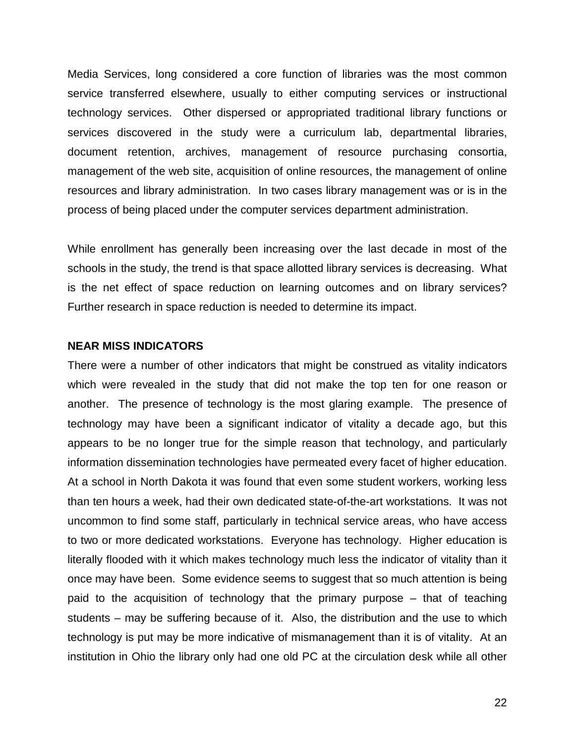Media Services, long considered a core function of libraries was the most common service transferred elsewhere, usually to either computing services or instructional technology services. Other dispersed or appropriated traditional library functions or services discovered in the study were a curriculum lab, departmental libraries, document retention, archives, management of resource purchasing consortia, management of the web site, acquisition of online resources, the management of online resources and library administration. In two cases library management was or is in the process of being placed under the computer services department administration.

While enrollment has generally been increasing over the last decade in most of the schools in the study, the trend is that space allotted library services is decreasing. What is the net effect of space reduction on learning outcomes and on library services? Further research in space reduction is needed to determine its impact.

#### **NEAR MISS INDICATORS**

There were a number of other indicators that might be construed as vitality indicators which were revealed in the study that did not make the top ten for one reason or another. The presence of technology is the most glaring example. The presence of technology may have been a significant indicator of vitality a decade ago, but this appears to be no longer true for the simple reason that technology, and particularly information dissemination technologies have permeated every facet of higher education. At a school in North Dakota it was found that even some student workers, working less than ten hours a week, had their own dedicated state-of-the-art workstations. It was not uncommon to find some staff, particularly in technical service areas, who have access to two or more dedicated workstations. Everyone has technology. Higher education is literally flooded with it which makes technology much less the indicator of vitality than it once may have been. Some evidence seems to suggest that so much attention is being paid to the acquisition of technology that the primary purpose – that of teaching students – may be suffering because of it. Also, the distribution and the use to which technology is put may be more indicative of mismanagement than it is of vitality. At an institution in Ohio the library only had one old PC at the circulation desk while all other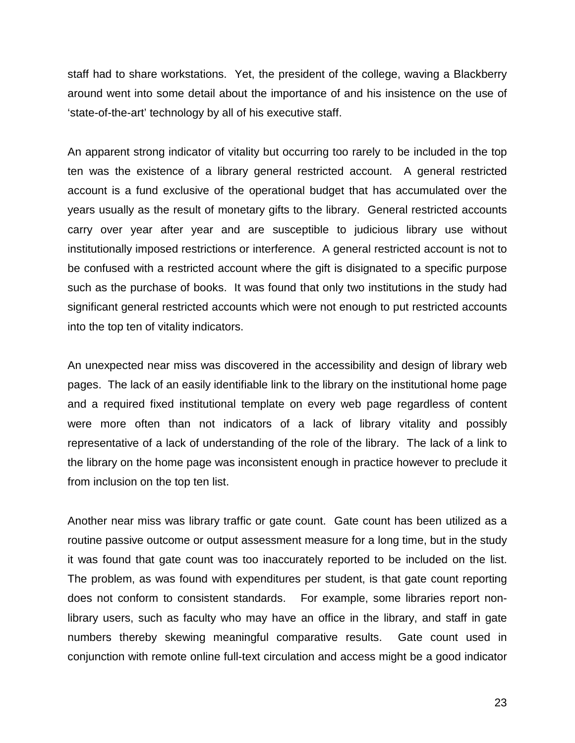staff had to share workstations. Yet, the president of the college, waving a Blackberry around went into some detail about the importance of and his insistence on the use of 'state-of-the-art' technology by all of his executive staff.

An apparent strong indicator of vitality but occurring too rarely to be included in the top ten was the existence of a library general restricted account. A general restricted account is a fund exclusive of the operational budget that has accumulated over the years usually as the result of monetary gifts to the library. General restricted accounts carry over year after year and are susceptible to judicious library use without institutionally imposed restrictions or interference. A general restricted account is not to be confused with a restricted account where the gift is disignated to a specific purpose such as the purchase of books. It was found that only two institutions in the study had significant general restricted accounts which were not enough to put restricted accounts into the top ten of vitality indicators.

An unexpected near miss was discovered in the accessibility and design of library web pages. The lack of an easily identifiable link to the library on the institutional home page and a required fixed institutional template on every web page regardless of content were more often than not indicators of a lack of library vitality and possibly representative of a lack of understanding of the role of the library. The lack of a link to the library on the home page was inconsistent enough in practice however to preclude it from inclusion on the top ten list.

Another near miss was library traffic or gate count. Gate count has been utilized as a routine passive outcome or output assessment measure for a long time, but in the study it was found that gate count was too inaccurately reported to be included on the list. The problem, as was found with expenditures per student, is that gate count reporting does not conform to consistent standards. For example, some libraries report nonlibrary users, such as faculty who may have an office in the library, and staff in gate numbers thereby skewing meaningful comparative results. Gate count used in conjunction with remote online full-text circulation and access might be a good indicator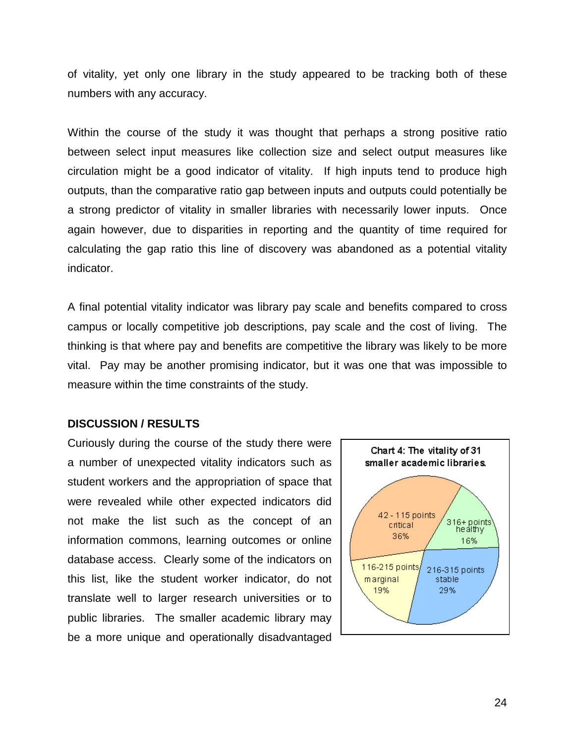of vitality, yet only one library in the study appeared to be tracking both of these numbers with any accuracy.

Within the course of the study it was thought that perhaps a strong positive ratio between select input measures like collection size and select output measures like circulation might be a good indicator of vitality. If high inputs tend to produce high outputs, than the comparative ratio gap between inputs and outputs could potentially be a strong predictor of vitality in smaller libraries with necessarily lower inputs. Once again however, due to disparities in reporting and the quantity of time required for calculating the gap ratio this line of discovery was abandoned as a potential vitality indicator.

A final potential vitality indicator was library pay scale and benefits compared to cross campus or locally competitive job descriptions, pay scale and the cost of living. The thinking is that where pay and benefits are competitive the library was likely to be more vital. Pay may be another promising indicator, but it was one that was impossible to measure within the time constraints of the study.

## **DISCUSSION / RESULTS**

Curiously during the course of the study there were a number of unexpected vitality indicators such as student workers and the appropriation of space that were revealed while other expected indicators did not make the list such as the concept of an information commons, learning outcomes or online database access. Clearly some of the indicators on this list, like the student worker indicator, do not translate well to larger research universities or to public libraries. The smaller academic library may be a more unique and operationally disadvantaged

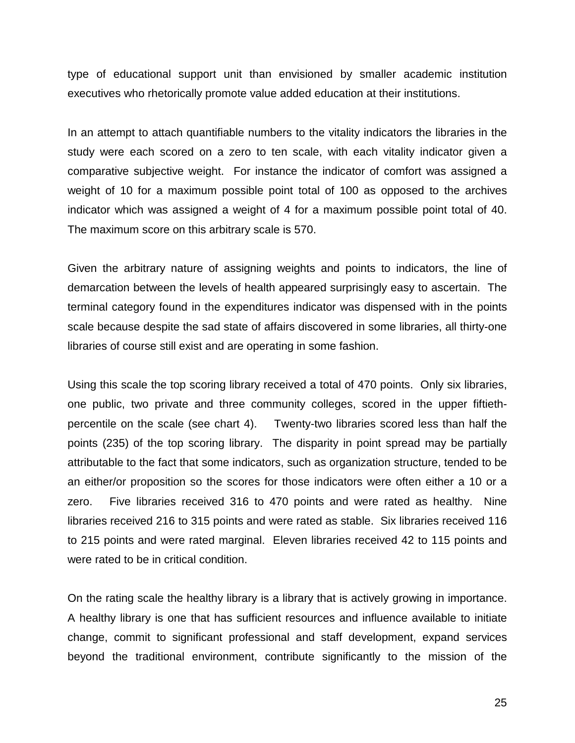type of educational support unit than envisioned by smaller academic institution executives who rhetorically promote value added education at their institutions.

In an attempt to attach quantifiable numbers to the vitality indicators the libraries in the study were each scored on a zero to ten scale, with each vitality indicator given a comparative subjective weight. For instance the indicator of comfort was assigned a weight of 10 for a maximum possible point total of 100 as opposed to the archives indicator which was assigned a weight of 4 for a maximum possible point total of 40. The maximum score on this arbitrary scale is 570.

Given the arbitrary nature of assigning weights and points to indicators, the line of demarcation between the levels of health appeared surprisingly easy to ascertain. The terminal category found in the expenditures indicator was dispensed with in the points scale because despite the sad state of affairs discovered in some libraries, all thirty-one libraries of course still exist and are operating in some fashion.

Using this scale the top scoring library received a total of 470 points. Only six libraries, one public, two private and three community colleges, scored in the upper fiftiethpercentile on the scale (see chart 4). Twenty-two libraries scored less than half the points (235) of the top scoring library. The disparity in point spread may be partially attributable to the fact that some indicators, such as organization structure, tended to be an either/or proposition so the scores for those indicators were often either a 10 or a zero. Five libraries received 316 to 470 points and were rated as healthy. Nine libraries received 216 to 315 points and were rated as stable. Six libraries received 116 to 215 points and were rated marginal. Eleven libraries received 42 to 115 points and were rated to be in critical condition.

On the rating scale the healthy library is a library that is actively growing in importance. A healthy library is one that has sufficient resources and influence available to initiate change, commit to significant professional and staff development, expand services beyond the traditional environment, contribute significantly to the mission of the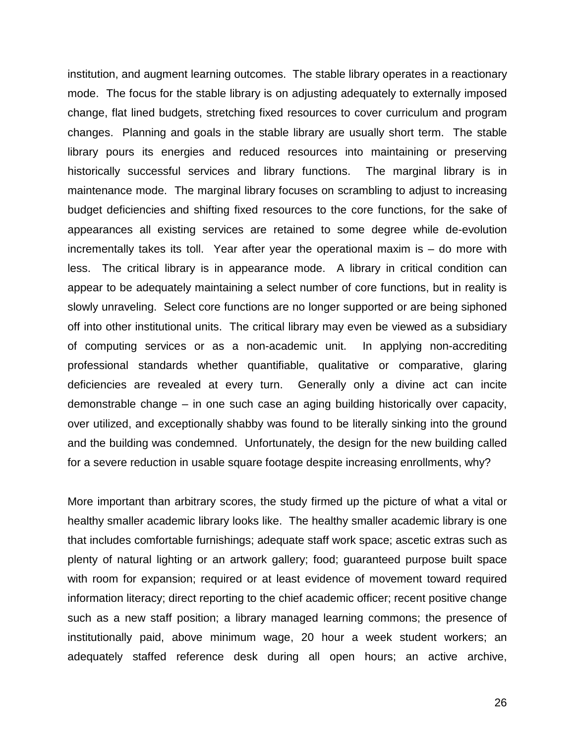institution, and augment learning outcomes. The stable library operates in a reactionary mode. The focus for the stable library is on adjusting adequately to externally imposed change, flat lined budgets, stretching fixed resources to cover curriculum and program changes. Planning and goals in the stable library are usually short term. The stable library pours its energies and reduced resources into maintaining or preserving historically successful services and library functions. The marginal library is in maintenance mode. The marginal library focuses on scrambling to adjust to increasing budget deficiencies and shifting fixed resources to the core functions, for the sake of appearances all existing services are retained to some degree while de-evolution incrementally takes its toll. Year after year the operational maxim is – do more with less. The critical library is in appearance mode. A library in critical condition can appear to be adequately maintaining a select number of core functions, but in reality is slowly unraveling. Select core functions are no longer supported or are being siphoned off into other institutional units. The critical library may even be viewed as a subsidiary of computing services or as a non-academic unit. In applying non-accrediting professional standards whether quantifiable, qualitative or comparative, glaring deficiencies are revealed at every turn. Generally only a divine act can incite demonstrable change – in one such case an aging building historically over capacity, over utilized, and exceptionally shabby was found to be literally sinking into the ground and the building was condemned. Unfortunately, the design for the new building called for a severe reduction in usable square footage despite increasing enrollments, why?

More important than arbitrary scores, the study firmed up the picture of what a vital or healthy smaller academic library looks like. The healthy smaller academic library is one that includes comfortable furnishings; adequate staff work space; ascetic extras such as plenty of natural lighting or an artwork gallery; food; guaranteed purpose built space with room for expansion; required or at least evidence of movement toward required information literacy; direct reporting to the chief academic officer; recent positive change such as a new staff position; a library managed learning commons; the presence of institutionally paid, above minimum wage, 20 hour a week student workers; an adequately staffed reference desk during all open hours; an active archive,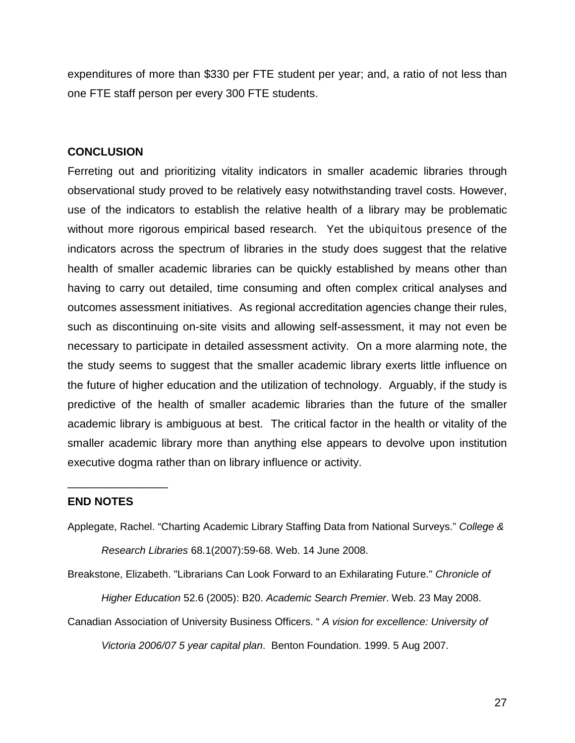expenditures of more than \$330 per FTE student per year; and, a ratio of not less than one FTE staff person per every 300 FTE students.

## **CONCLUSION**

Ferreting out and prioritizing vitality indicators in smaller academic libraries through observational study proved to be relatively easy notwithstanding travel costs. However, use of the indicators to establish the relative health of a library may be problematic without more rigorous empirical based research. Yet the ubiquitous presence of the indicators across the spectrum of libraries in the study does suggest that the relative health of smaller academic libraries can be quickly established by means other than having to carry out detailed, time consuming and often complex critical analyses and outcomes assessment initiatives. As regional accreditation agencies change their rules, such as discontinuing on-site visits and allowing self-assessment, it may not even be necessary to participate in detailed assessment activity. On a more alarming note, the the study seems to suggest that the smaller academic library exerts little influence on the future of higher education and the utilization of technology. Arguably, if the study is predictive of the health of smaller academic libraries than the future of the smaller academic library is ambiguous at best. The critical factor in the health or vitality of the smaller academic library more than anything else appears to devolve upon institution executive dogma rather than on library influence or activity.

## **END NOTES**

\_\_\_\_\_\_\_\_\_\_\_\_\_\_\_\_

Applegate, Rachel. "Charting Academic Library Staffing Data from National Surveys." *College & Research Libraries* 68.1(2007):59-68. Web. 14 June 2008.

Breakstone, Elizabeth. "Librarians Can Look Forward to an Exhilarating Future." *Chronicle of Higher Education* 52.6 (2005): B20. *Academic Search Premier*. Web. 23 May 2008.

Canadian Association of University Business Officers. " *A vision for excellence: University of Victoria 2006/07 5 year capital plan*. Benton Foundation. 1999. 5 Aug 2007.